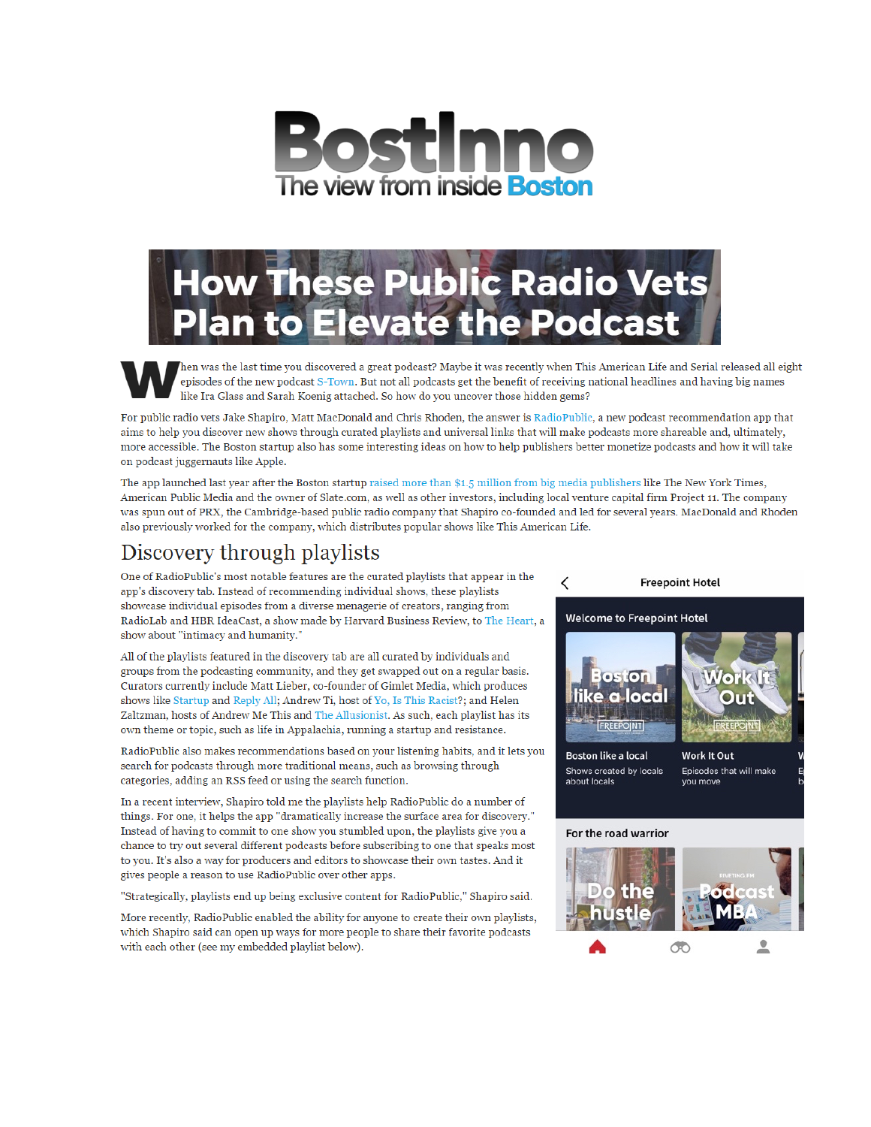



episodes of the new podcast S-Town. But not all podcasts get the benefit of receiving national headlines and having big names like Ira Glass and Sarah Koenig attached. So how do you uncover those hidden gems?

For public radio vets Jake Shapiro, Matt MacDonald and Chris Rhoden, the answer is RadioPublic, a new podcast recommendation app that aims to help you discover new shows through curated playlists and universal links that will make podcasts more shareable and, ultimately, more accessible. The Boston startup also has some interesting ideas on how to help publishers better monetize podcasts and how it will take on podcast juggernauts like Apple.

The app launched last year after the Boston startup raised more than \$1.5 million from big media publishers like The New York Times, American Public Media and the owner of Slate.com, as well as other investors, including local venture capital firm Project 11. The company was spun out of PRX, the Cambridge-based public radio company that Shapiro co-founded and led for several years. MacDonald and Rhoden also previously worked for the company, which distributes popular shows like This American Life.

## **Discovery through playlists**

One of RadioPublic's most notable features are the curated playlists that appear in the app's discovery tab. Instead of recommending individual shows, these playlists showcase individual episodes from a diverse menagerie of creators, ranging from RadioLab and HBR IdeaCast, a show made by Harvard Business Review, to The Heart, a show about "intimacy and humanity."

All of the playlists featured in the discovery tab are all curated by individuals and groups from the podcasting community, and they get swapped out on a regular basis. Curators currently include Matt Lieber, co-founder of Gimlet Media, which produces shows like Startup and Reply All; Andrew Ti, host of Yo, Is This Racist?; and Helen Zaltzman, hosts of Andrew Me This and The Allusionist. As such, each playlist has its own theme or topic, such as life in Appalachia, running a startup and resistance.

RadioPublic also makes recommendations based on your listening habits, and it lets you search for podcasts through more traditional means, such as browsing through categories, adding an RSS feed or using the search function.

In a recent interview, Shapiro told me the playlists help RadioPublic do a number of things. For one, it helps the app "dramatically increase the surface area for discovery." Instead of having to commit to one show you stumbled upon, the playlists give you a chance to try out several different podcasts before subscribing to one that speaks most to you. It's also a way for producers and editors to showcase their own tastes. And it gives people a reason to use Radio Public over other apps.

"Strategically, playlists end up being exclusive content for RadioPublic," Shapiro said.

More recently, RadioPublic enabled the ability for anyone to create their own playlists, which Shapiro said can open up ways for more people to share their favorite podcasts with each other (see my embedded playlist below).

#### < **Freepoint Hotel Welcome to Freepoint Hotel**  $\circ$ ston ke a local **FREEPONT** REEPOINT **Boston like a local Work It Out** Shows created by locals Episodes that will make

#### **For the road warrior**

about locals



you move